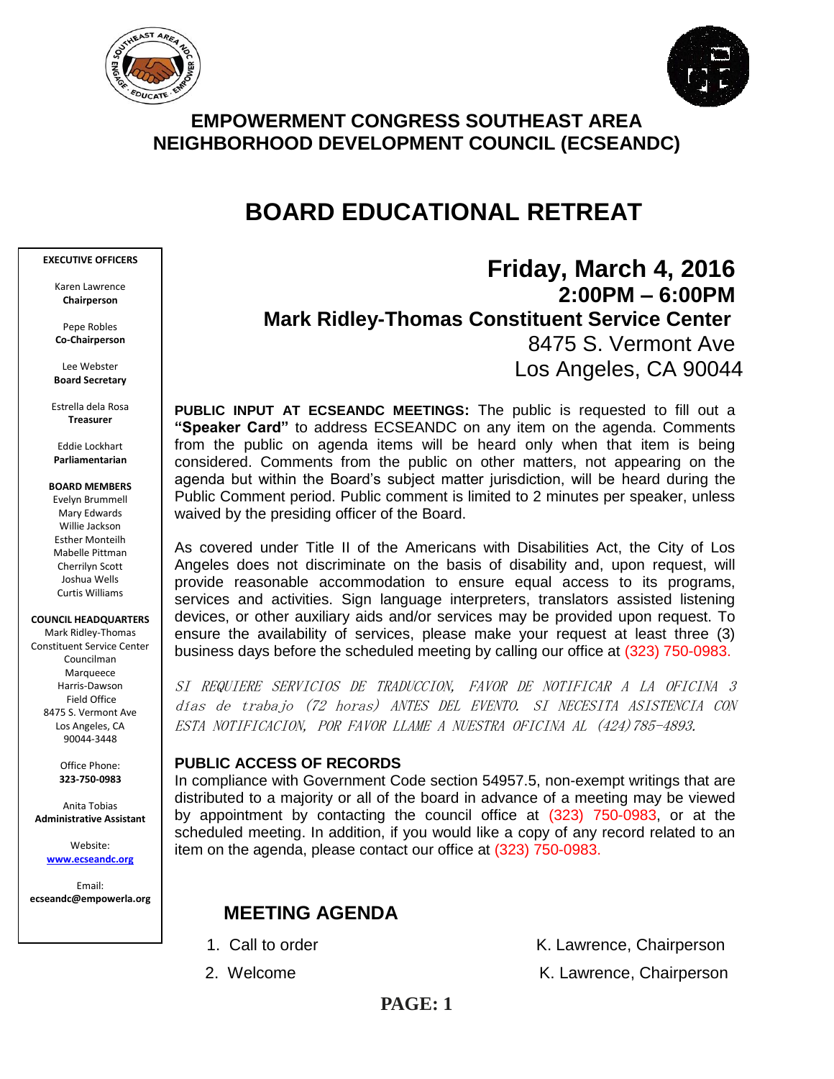



## **EMPOWERMENT CONGRESS SOUTHEAST AREA NEIGHBORHOOD DEVELOPMENT COUNCIL (ECSEANDC)**

# **BOARD EDUCATIONAL RETREAT**

#### **EXECUTIVE OFFICERS**

Karen Lawrence **Chairperson**

Pepe Robles **Co-Chairperson**

Lee Webster **Board Secretary**

Estrella dela Rosa **Treasurer**

Eddie Lockhart **Parliamentarian**

#### **BOARD MEMBERS**

Evelyn Brummell Mary Edwards Willie Jackson Esther Monteilh Mabelle Pittman Cherrilyn Scott Joshua Wells Curtis Williams

**COUNCIL HEADQUARTERS**

Mark Ridley-Thomas Constituent Service Center Councilman Marqueece Harris-Dawson Field Office 8475 S. Vermont Ave Los Angeles, CA 90044-3448

> Office Phone: **323-750-0983**

Anita Tobias **Administrative Assistant**

> Website: **[www.ecseandc.org](http://www.ecseandc.org/)**

Email: **ecseandc@empowerla.org**

# **Friday, March 4, 2016 2:00PM – 6:00PM**

 **Mark Ridley-Thomas Constituent Service Center**

8475 S. Vermont Ave Los Angeles, CA 90044

**PUBLIC INPUT AT ECSEANDC MEETINGS:** The public is requested to fill out a **"Speaker Card"** to address ECSEANDC on any item on the agenda. Comments from the public on agenda items will be heard only when that item is being considered. Comments from the public on other matters, not appearing on the agenda but within the Board's subject matter jurisdiction, will be heard during the Public Comment period. Public comment is limited to 2 minutes per speaker, unless waived by the presiding officer of the Board.

As covered under Title II of the Americans with Disabilities Act, the City of Los Angeles does not discriminate on the basis of disability and, upon request, will provide reasonable accommodation to ensure equal access to its programs, services and activities. Sign language interpreters, translators assisted listening devices, or other auxiliary aids and/or services may be provided upon request. To ensure the availability of services, please make your request at least three (3) business days before the scheduled meeting by calling our office at (323) 750-0983.

SI REQUIERE SERVICIOS DE TRADUCCION, FAVOR DE NOTIFICAR A LA OFICINA 3 días de trabajo (72 horas) ANTES DEL EVENTO. SI NECESITA ASISTENCIA CON ESTA NOTIFICACION, POR FAVOR LLAME A NUESTRA OFICINA AL (424)785-4893.

## **PUBLIC ACCESS OF RECORDS**

In compliance with Government Code section 54957.5, non-exempt writings that are distributed to a majority or all of the board in advance of a meeting may be viewed by appointment by contacting the council office at (323) 750-0983, or at the scheduled meeting. In addition, if you would like a copy of any record related to an item on the agenda, please contact our office at (323) 750-0983.

## **MEETING AGENDA**

- 
- 

1. Call to order The Call to order The Chairperson K. Lawrence, Chairperson

2. Welcome **K. Lawrence, Chairperson**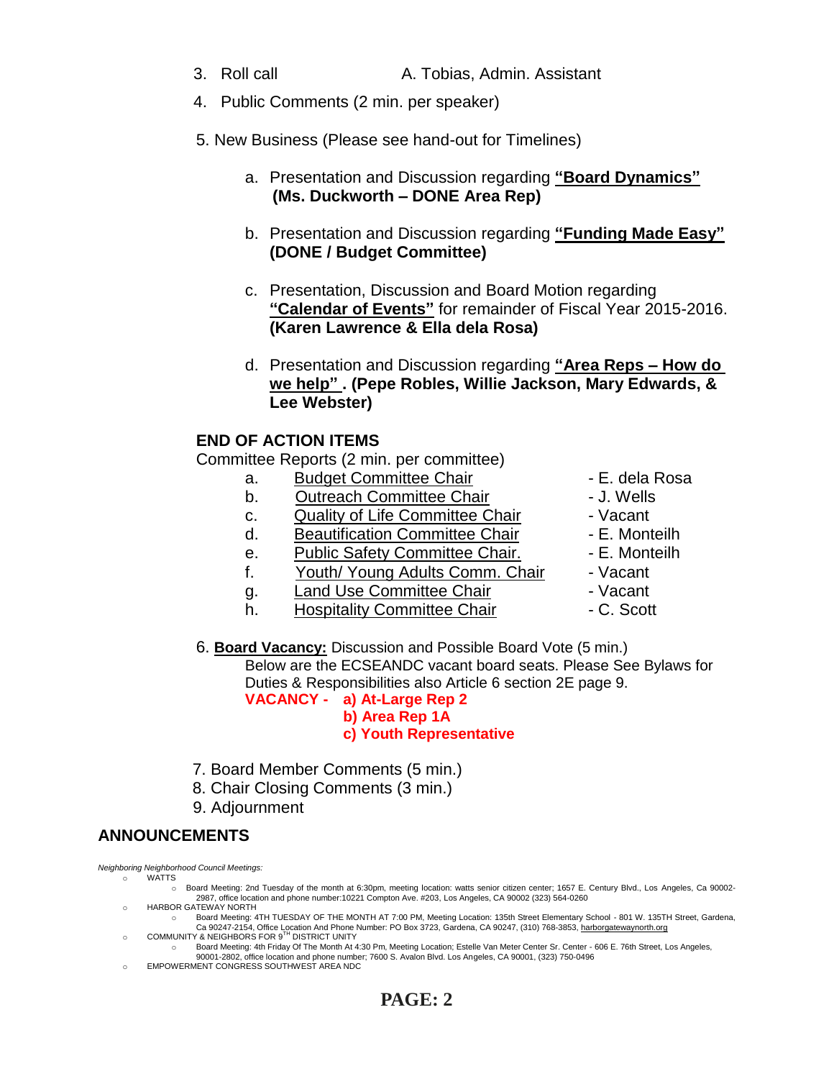- 4. Public Comments (2 min. per speaker)
- 5. New Business (Please see hand-out for Timelines)
	- a. Presentation and Discussion regarding **"Board Dynamics" (Ms. Duckworth – DONE Area Rep)**
	- b. Presentation and Discussion regarding **"Funding Made Easy" (DONE / Budget Committee)**
	- c. Presentation, Discussion and Board Motion regarding **"Calendar of Events"** for remainder of Fiscal Year 2015-2016. **(Karen Lawrence & Ella dela Rosa)**
	- d. Presentation and Discussion regarding **"Area Reps – How do we help" . (Pepe Robles, Willie Jackson, Mary Edwards, & Lee Webster)**

## **END OF ACTION ITEMS**

Committee Reports (2 min. per committee)

- a. Budget Committee Chair  **E. dela Rosa**
- b. Outreach Committee Chair **Danisland** J. Wells
- c. Quality of Life Committee Chair Vacant
- d. Beautification Committee Chair Fame E. Monteilh
- e. Public Safety Committee Chair. E. Monteilh
- f. Youth/ Young Adults Comm. Chair Vacant
- q. Land Use Committee Chair  **Vacant**
- h. Hospitality Committee Chair  **C. Scott**
- 
- 
- 
- 
- 
- 
- 
- 
- 6. **Board Vacancy:** Discussion and Possible Board Vote (5 min.) Below are the ECSEANDC vacant board seats. Please See Bylaws for Duties & Responsibilities also Article 6 section 2E page 9.

**VACANCY - a) At-Large Rep 2 b) Area Rep 1A c) Youth Representative**

- 7. Board Member Comments (5 min.)
- 8. Chair Closing Comments (3 min.)
- 9. Adjournment

## **ANNOUNCEMENTS**

*Neighboring Neighborhood Council Meetings:*

- o WATTS
	- o Board Meeting: 2nd Tuesday of the month at 6:30pm, meeting location: watts senior citizen center; 1657 E. Century Blvd., Los Angeles, Ca 90002- 2987, office location and phone number:10221 Compton Ave. #203, Los Angeles, CA 90002 (323) 564-0260
- o HARBOR GATEWAY NORTH o Board Meeting: 4TH TUESDAY OF THE MONTH AT 7:00 PM, Meeting Location: 135th Street Elementary School - 801 W. 135TH Street, Gardena, Ca 90247-2154, Office Location And Phone Number: PO Box 3723, Gardena, CA 90247, (310) 768-3853[, harborgatewaynorth.org](http://www.lacity.org/disclaim/disclaim.cfm?goto=http://HARBORGATEWAYNORTH.ORG%20%20%20%20%20%20%20%20%20%20%20%20%20%20%20%20%20%20%20%20%20%20%20%20%20%20%20%20%20/%20_blank)<br>CR NEIGHBORS FOR 9<sup>TH</sup> DISTRICT UNITY
- o COMMUNITY & NEIGHBORS FOR 9TH
	- o Board Meeting: 4th Friday Of The Month At 4:30 Pm, Meeting Location; Estelle Van Meter Center Sr. Center 606 E. 76th Street, Los Angeles, 90001-2802, office location and phone number; 7600 S. Avalon Blvd. Los Angeles, CA 90001, (323) 750-0496
- EMPOWERMENT CONGRESS SOUTHWEST AREA NDC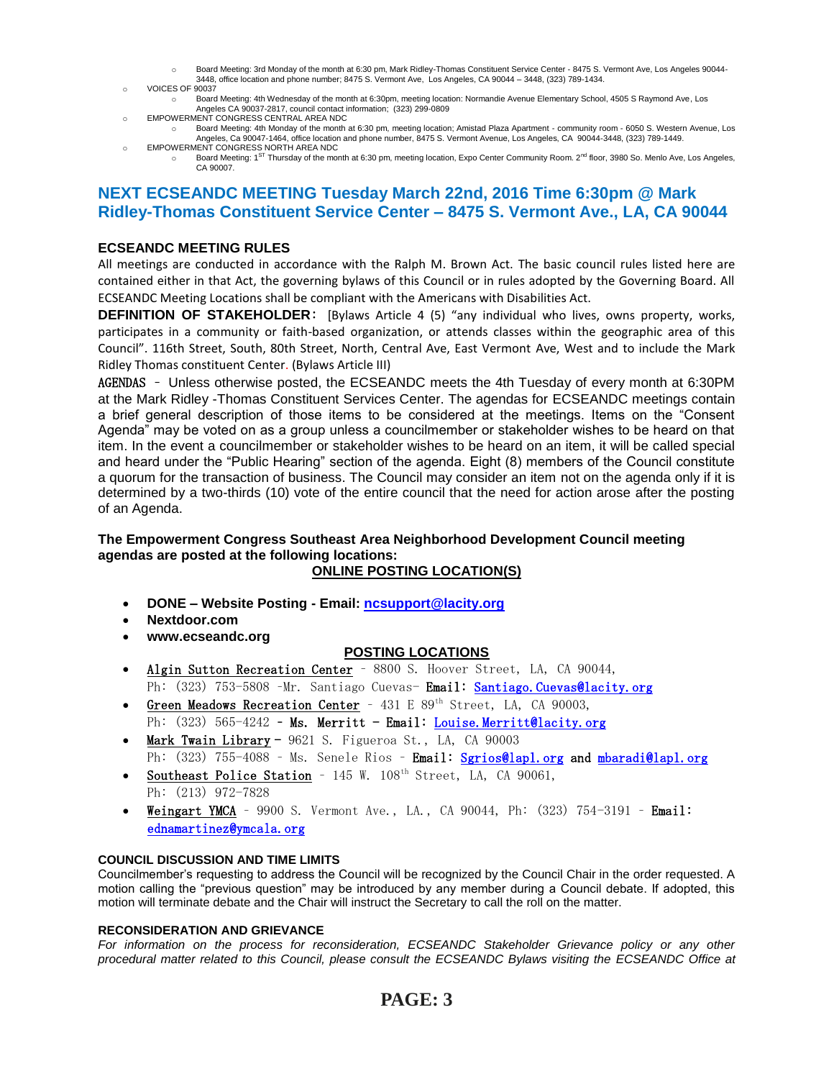- o Board Meeting: 3rd Monday of the month at 6:30 pm, Mark Ridley-Thomas Constituent Service Center 8475 S. Vermont Ave, Los Angeles 90044- 3448, office location and phone number; 8475 S. Vermont Ave, Los Angeles, CA 90044 – 3448, (323) 789-1434.
- o VOICES OF 90037
	- o Board Meeting: 4th Wednesday of the month at 6:30pm, meeting location: Normandie Avenue Elementary School, 4505 S Raymond Ave, Los Angeles CA 90037-2817, council contact information; (323) 299-0809
- o EMPOWERMENT CONGRESS CENTRAL AREA NDC
	- o Board Meeting: 4th Monday of the month at 6:30 pm, meeting location; Amistad Plaza Apartment community room 6050 S. Western Avenue, Los Angeles, Ca 90047-1464, office location and phone number, 8475 S. Vermont Avenue, Los Angeles, CA 90044-3448, (323) 789-1449.
- o EMPOWERMENT CONGRESS NORTH AREA NDC<br>  $\circ$  Board Meeting: 1<sup>ST</sup> Thursday of the more o Board Meeting: 1<sup>ST</sup> Thursday of the month at 6:30 pm, meeting location, Expo Center Community Room. 2<sup>nd</sup> floor, 3980 So. Menlo Ave, Los Angeles, CA 90007.

## **NEXT ECSEANDC MEETING Tuesday March 22nd, 2016 Time 6:30pm @ Mark Ridley-Thomas Constituent Service Center – 8475 S. Vermont Ave., LA, CA 90044**

### **ECSEANDC MEETING RULES**

All meetings are conducted in accordance with the Ralph M. Brown Act. The basic council rules listed here are contained either in that Act, the governing bylaws of this Council or in rules adopted by the Governing Board. All ECSEANDC Meeting Locations shall be compliant with the Americans with Disabilities Act.

**DEFINITION OF STAKEHOLDER**: [Bylaws Article 4 (5) "any individual who lives, owns property, works, participates in a community or faith-based organization, or attends classes within the geographic area of this Council". 116th Street, South, 80th Street, North, Central Ave, East Vermont Ave, West and to include the Mark Ridley Thomas constituent Center. (Bylaws Article III)

AGENDAS – Unless otherwise posted, the ECSEANDC meets the 4th Tuesday of every month at 6:30PM at the Mark Ridley -Thomas Constituent Services Center. The agendas for ECSEANDC meetings contain a brief general description of those items to be considered at the meetings. Items on the "Consent Agenda" may be voted on as a group unless a councilmember or stakeholder wishes to be heard on that item. In the event a councilmember or stakeholder wishes to be heard on an item, it will be called special and heard under the "Public Hearing" section of the agenda. Eight (8) members of the Council constitute a quorum for the transaction of business. The Council may consider an item not on the agenda only if it is determined by a two-thirds (10) vote of the entire council that the need for action arose after the posting of an Agenda.

## **The Empowerment Congress Southeast Area Neighborhood Development Council meeting agendas are posted at the following locations:**

### **ONLINE POSTING LOCATION(S)**

- **DONE – Website Posting - Email: [ncsupport@lacity.org](mailto:ncsupport@lacity.org)**
- **Nextdoor.com**
- **www.ecseandc.org**

### **POSTING LOCATIONS**

- Algin Sutton Recreation Center 8800 S. Hoover Street, LA, CA 90044, Ph: (323) 753-5808 -Mr. Santiago Cuevas- **Email: Santiago. Cuevas@lacity.org**
- Green Meadows Recreation Center 431 E 89<sup>th</sup> Street, LA, CA 90003,
- Ph: (323) 565-4242 Ms. Merritt Email: Louise. Merritt@lacity.org Mark Twain Library - 9621 S. Figueroa St., LA, CA 90003
- Ph: (323) 755-4088 Ms. Senele Rios Email: [Sgrios@lapl.org](mailto:Sgrios@lapl.org) and mbaradi@lapl.org
- Southeast Police Station 145 W. 108<sup>th</sup> Street, LA, CA 90061, Ph: (213) 972-7828
- Weingart YMCA 9900 S. Vermont Ave., LA., CA 90044, Ph:  $(323)$  754-3191 Email: ednamartinez@ymcala.org

### **COUNCIL DISCUSSION AND TIME LIMITS**

Councilmember's requesting to address the Council will be recognized by the Council Chair in the order requested. A motion calling the "previous question" may be introduced by any member during a Council debate. If adopted, this motion will terminate debate and the Chair will instruct the Secretary to call the roll on the matter.

#### **RECONSIDERATION AND GRIEVANCE**

For information on the process for reconsideration, ECSEANDC Stakeholder Grievance policy or any other *procedural matter related to this Council, please consult the ECSEANDC Bylaws visiting the ECSEANDC Office at*